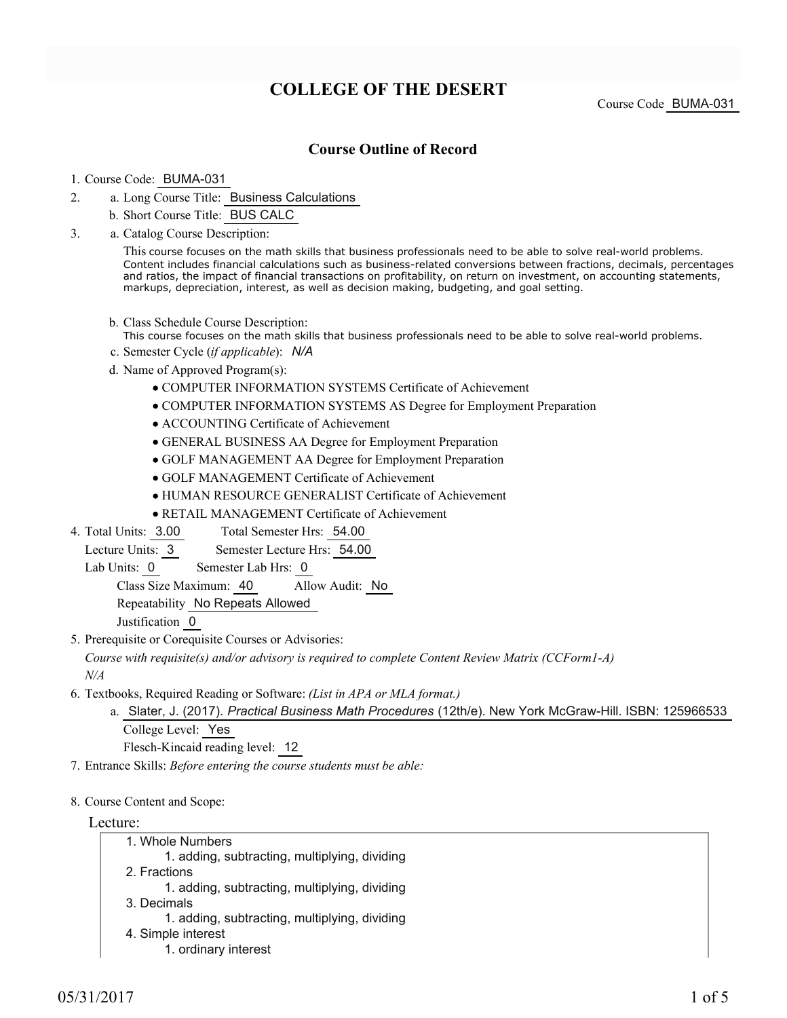# **COLLEGE OF THE DESERT**

Course Code BUMA-031

## **Course Outline of Record**

#### 1. Course Code: BUMA-031

- a. Long Course Title: Business Calculations 2.
	- b. Short Course Title: BUS CALC
- Catalog Course Description: a. 3.

This course focuses on the math skills that business professionals need to be able to solve real-world problems. Content includes financial calculations such as business-related conversions between fractions, decimals, percentages and ratios, the impact of financial transactions on profitability, on return on investment, on accounting statements, markups, depreciation, interest, as well as decision making, budgeting, and goal setting.

- b. Class Schedule Course Description:
- This course focuses on the math skills that business professionals need to be able to solve real-world problems.
- c. Semester Cycle (*if applicable*): *N/A*
- d. Name of Approved Program(s):
	- COMPUTER INFORMATION SYSTEMS Certificate of Achievement
	- COMPUTER INFORMATION SYSTEMS AS Degree for Employment Preparation
	- ACCOUNTING Certificate of Achievement
	- GENERAL BUSINESS AA Degree for Employment Preparation
	- GOLF MANAGEMENT AA Degree for Employment Preparation
	- GOLF MANAGEMENT Certificate of Achievement
	- HUMAN RESOURCE GENERALIST Certificate of Achievement
	- RETAIL MANAGEMENT Certificate of Achievement
- Total Semester Hrs: 54.00 4. Total Units: 3.00

Lecture Units: 3 Semester Lecture Hrs: 54.00

Lab Units: 0 Semester Lab Hrs: 0

Class Size Maximum: 40 Allow Audit: No

Repeatability No Repeats Allowed

Justification 0

5. Prerequisite or Corequisite Courses or Advisories:

*Course with requisite(s) and/or advisory is required to complete Content Review Matrix (CCForm1-A) N/A*

- Textbooks, Required Reading or Software: *(List in APA or MLA format.)* 6.
	- a. Slater, J. (2017). *Practical Business Math Procedures* (12th/e). New York McGraw-Hill. ISBN: 125966533 College Level: Yes

Flesch-Kincaid reading level: 12

- 7. Entrance Skills: *Before entering the course students must be able:*
- 8. Course Content and Scope:

#### Lecture:

- Whole Numbers 1.
	- 1. adding, subtracting, multiplying, dividing
- 2. Fractions
	- 1. adding, subtracting, multiplying, dividing
- 3. Decimals
	- 1. adding, subtracting, multiplying, dividing
- 4. Simple interest
	- 1. ordinary interest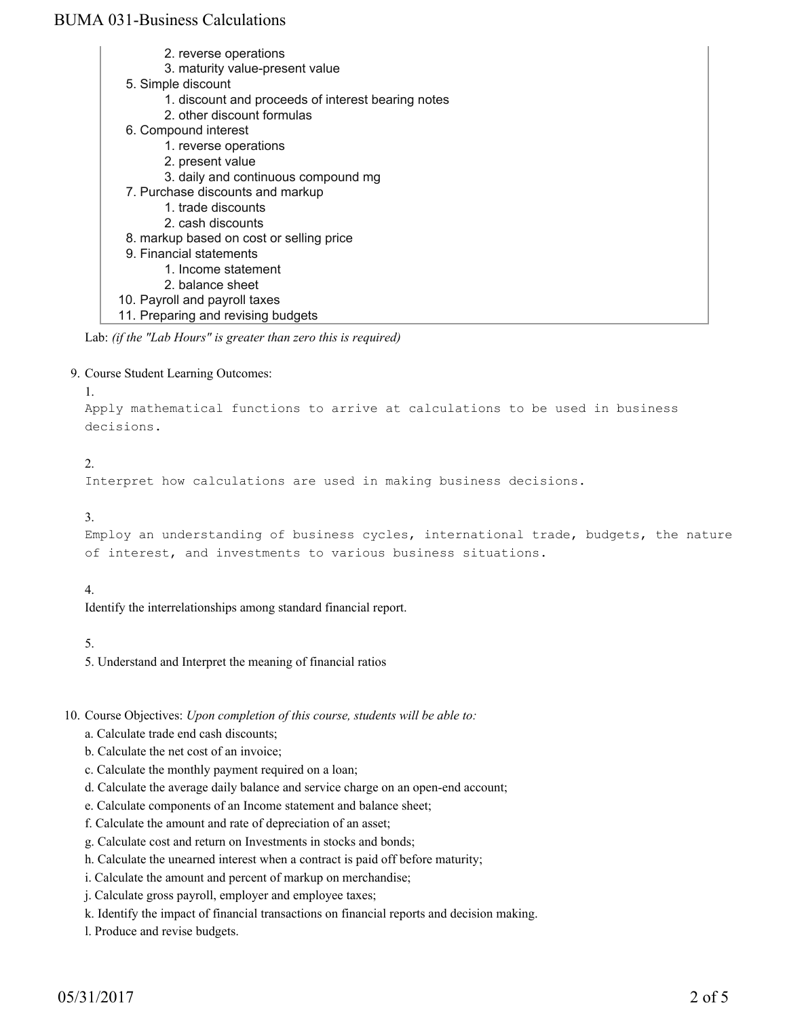- 2. reverse operations
- 3. maturity value-present value
- Simple discount 5.
	- 1. discount and proceeds of interest bearing notes
	- 2. other discount formulas
- 6. Compound interest
	- 1. reverse operations
	- 2. present value
	- 3. daily and continuous compound mg
- 7. Purchase discounts and markup
	- 1. trade discounts
	- 2. cash discounts
- 8. markup based on cost or selling price
- 9. Financial statements
	- 1. Income statement
	- 2. balance sheet
- 10. Payroll and payroll taxes
- 11. Preparing and revising budgets

Lab: *(if the "Lab Hours" is greater than zero this is required)*

9. Course Student Learning Outcomes:

```
1.
```
Apply mathematical functions to arrive at calculations to be used in business decisions.

### $2^{\circ}$

Interpret how calculations are used in making business decisions.

#### 3.

```
Employ an understanding of business cycles, international trade, budgets, the nature
of interest, and investments to various business situations.
```
### 4.

Identify the interrelationships among standard financial report.

### 5.

5. Understand and Interpret the meaning of financial ratios

10. Course Objectives: Upon completion of this course, students will be able to:

- a. Calculate trade end cash discounts;
- b. Calculate the net cost of an invoice;
- c. Calculate the monthly payment required on a loan;
- d. Calculate the average daily balance and service charge on an open-end account;
- e. Calculate components of an Income statement and balance sheet;
- f. Calculate the amount and rate of depreciation of an asset;
- g. Calculate cost and return on Investments in stocks and bonds;
- h. Calculate the unearned interest when a contract is paid off before maturity;
- i. Calculate the amount and percent of markup on merchandise;
- j. Calculate gross payroll, employer and employee taxes;
- k. Identify the impact of financial transactions on financial reports and decision making.
- l. Produce and revise budgets.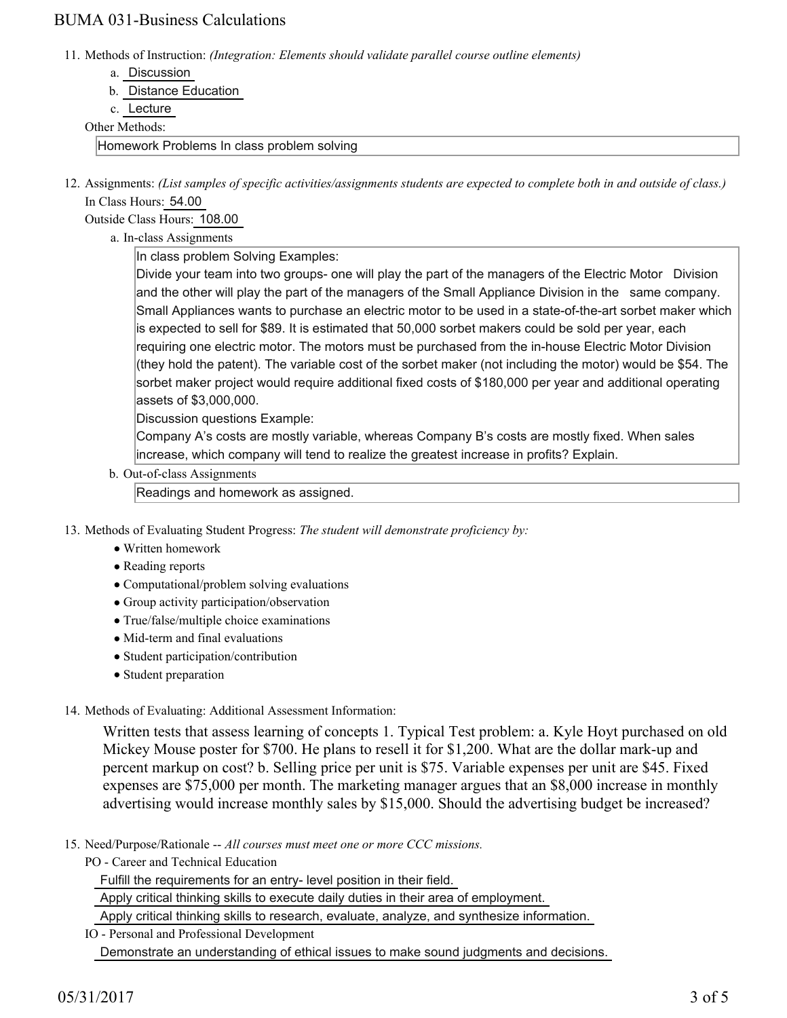11. Methods of Instruction: *(Integration: Elements should validate parallel course outline elements)* 

- a. Discussion
- b. Distance Education
- c. Lecture

#### Other Methods:

Homework Problems In class problem solving

12. Assignments: (List samples of specific activities/assignments students are expected to complete both in and outside of class.) In Class Hours: 54.00

Outside Class Hours: 108.00

a. In-class Assignments

In class problem Solving Examples:

Divide your team into two groups- one will play the part of the managers of the Electric Motor Division and the other will play the part of the managers of the Small Appliance Division in the same company. Small Appliances wants to purchase an electric motor to be used in a state-of-the-art sorbet maker which is expected to sell for \$89. It is estimated that 50,000 sorbet makers could be sold per year, each requiring one electric motor. The motors must be purchased from the in-house Electric Motor Division (they hold the patent). The variable cost of the sorbet maker (not including the motor) would be \$54. The sorbet maker project would require additional fixed costs of \$180,000 per year and additional operating assets of \$3,000,000.

Discussion questions Example:

Company A's costs are mostly variable, whereas Company B's costs are mostly fixed. When sales increase, which company will tend to realize the greatest increase in profits? Explain.

b. Out-of-class Assignments

Readings and homework as assigned.

- 13. Methods of Evaluating Student Progress: The student will demonstrate proficiency by:
	- Written homework
	- Reading reports
	- Computational/problem solving evaluations
	- Group activity participation/observation
	- True/false/multiple choice examinations
	- Mid-term and final evaluations
	- Student participation/contribution
	- Student preparation

### 14. Methods of Evaluating: Additional Assessment Information:

Written tests that assess learning of concepts 1. Typical Test problem: a. Kyle Hoyt purchased on old Mickey Mouse poster for \$700. He plans to resell it for \$1,200. What are the dollar mark-up and percent markup on cost? b. Selling price per unit is \$75. Variable expenses per unit are \$45. Fixed expenses are \$75,000 per month. The marketing manager argues that an \$8,000 increase in monthly advertising would increase monthly sales by \$15,000. Should the advertising budget be increased?

- 15. Need/Purpose/Rationale -- All courses must meet one or more CCC missions.
	- PO Career and Technical Education

Fulfill the requirements for an entry- level position in their field.

Apply critical thinking skills to execute daily duties in their area of employment.

Apply critical thinking skills to research, evaluate, analyze, and synthesize information.

IO - Personal and Professional Development Demonstrate an understanding of ethical issues to make sound judgments and decisions.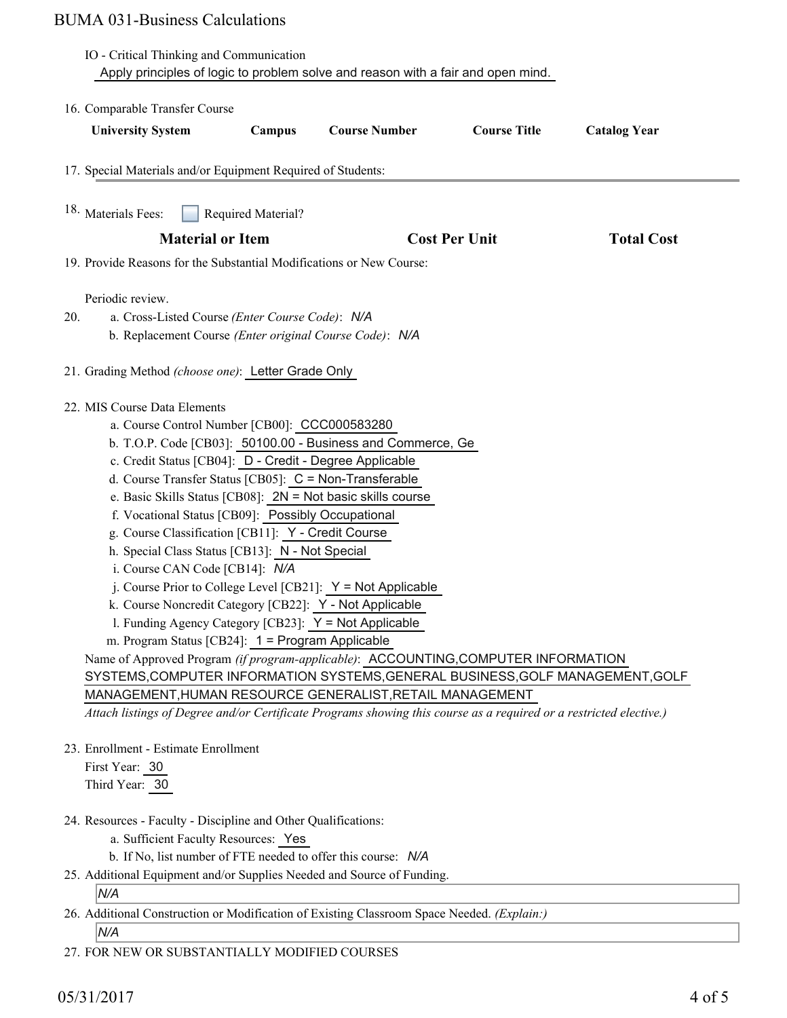|                                                                          | IO - Critical Thinking and Communication                                                                                                                                                                                                                                                                                                                                                                                                                                         | Apply principles of logic to problem solve and reason with a fair and open mind.                                                                                                                                                                                                                                                                                                                                                                                                                                                                                                                                 |                      |                     |  |
|--------------------------------------------------------------------------|----------------------------------------------------------------------------------------------------------------------------------------------------------------------------------------------------------------------------------------------------------------------------------------------------------------------------------------------------------------------------------------------------------------------------------------------------------------------------------|------------------------------------------------------------------------------------------------------------------------------------------------------------------------------------------------------------------------------------------------------------------------------------------------------------------------------------------------------------------------------------------------------------------------------------------------------------------------------------------------------------------------------------------------------------------------------------------------------------------|----------------------|---------------------|--|
| 16. Comparable Transfer Course                                           |                                                                                                                                                                                                                                                                                                                                                                                                                                                                                  |                                                                                                                                                                                                                                                                                                                                                                                                                                                                                                                                                                                                                  |                      |                     |  |
| <b>University System</b>                                                 | Campus                                                                                                                                                                                                                                                                                                                                                                                                                                                                           | <b>Course Number</b>                                                                                                                                                                                                                                                                                                                                                                                                                                                                                                                                                                                             | <b>Course Title</b>  | <b>Catalog Year</b> |  |
| 17. Special Materials and/or Equipment Required of Students:             |                                                                                                                                                                                                                                                                                                                                                                                                                                                                                  |                                                                                                                                                                                                                                                                                                                                                                                                                                                                                                                                                                                                                  |                      |                     |  |
| <sup>18.</sup> Materials Fees:                                           | Required Material?                                                                                                                                                                                                                                                                                                                                                                                                                                                               |                                                                                                                                                                                                                                                                                                                                                                                                                                                                                                                                                                                                                  |                      |                     |  |
| <b>Material or Item</b>                                                  |                                                                                                                                                                                                                                                                                                                                                                                                                                                                                  |                                                                                                                                                                                                                                                                                                                                                                                                                                                                                                                                                                                                                  | <b>Cost Per Unit</b> | <b>Total Cost</b>   |  |
|                                                                          |                                                                                                                                                                                                                                                                                                                                                                                                                                                                                  | 19. Provide Reasons for the Substantial Modifications or New Course:                                                                                                                                                                                                                                                                                                                                                                                                                                                                                                                                             |                      |                     |  |
| Periodic review.<br>20.                                                  | a. Cross-Listed Course (Enter Course Code): N/A<br>b. Replacement Course (Enter original Course Code): N/A                                                                                                                                                                                                                                                                                                                                                                       |                                                                                                                                                                                                                                                                                                                                                                                                                                                                                                                                                                                                                  |                      |                     |  |
| 21. Grading Method (choose one): Letter Grade Only                       |                                                                                                                                                                                                                                                                                                                                                                                                                                                                                  |                                                                                                                                                                                                                                                                                                                                                                                                                                                                                                                                                                                                                  |                      |                     |  |
| 22. MIS Course Data Elements                                             | a. Course Control Number [CB00]: CCC000583280<br>c. Credit Status [CB04]: D - Credit - Degree Applicable<br>d. Course Transfer Status [CB05]: C = Non-Transferable<br>f. Vocational Status [CB09]: Possibly Occupational<br>g. Course Classification [CB11]: Y - Credit Course<br>h. Special Class Status [CB13]: N - Not Special<br>i. Course CAN Code [CB14]: N/A<br>1. Funding Agency Category [CB23]: Y = Not Applicable<br>m. Program Status [CB24]: 1 = Program Applicable | b. T.O.P. Code [CB03]: 50100.00 - Business and Commerce, Ge<br>e. Basic Skills Status [CB08]: 2N = Not basic skills course<br>j. Course Prior to College Level [CB21]: $Y = Not$ Applicable<br>k. Course Noncredit Category [CB22]: Y - Not Applicable<br>Name of Approved Program (if program-applicable): ACCOUNTING, COMPUTER INFORMATION<br>SYSTEMS, COMPUTER INFORMATION SYSTEMS, GENERAL BUSINESS, GOLF MANAGEMENT, GOLF<br>MANAGEMENT, HUMAN RESOURCE GENERALIST, RETAIL MANAGEMENT<br>Attach listings of Degree and/or Certificate Programs showing this course as a required or a restricted elective.) |                      |                     |  |
| 23. Enrollment - Estimate Enrollment<br>First Year: 30<br>Third Year: 30 |                                                                                                                                                                                                                                                                                                                                                                                                                                                                                  |                                                                                                                                                                                                                                                                                                                                                                                                                                                                                                                                                                                                                  |                      |                     |  |
| 24. Resources - Faculty - Discipline and Other Qualifications:           | a. Sufficient Faculty Resources: Yes                                                                                                                                                                                                                                                                                                                                                                                                                                             | b. If No, list number of FTE needed to offer this course: N/A                                                                                                                                                                                                                                                                                                                                                                                                                                                                                                                                                    |                      |                     |  |
|                                                                          |                                                                                                                                                                                                                                                                                                                                                                                                                                                                                  | 25. Additional Equipment and/or Supplies Needed and Source of Funding.                                                                                                                                                                                                                                                                                                                                                                                                                                                                                                                                           |                      |                     |  |

## *N/A*

26. Additional Construction or Modification of Existing Classroom Space Needed. (Explain:)

*N/A*

27. FOR NEW OR SUBSTANTIALLY MODIFIED COURSES